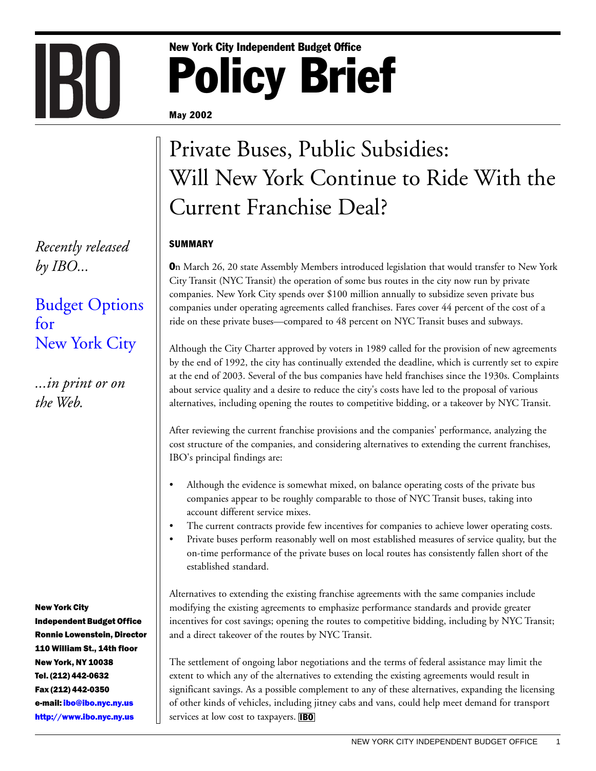# **Policy Brief** New York City Independent Budget Office

#### May 2002

## Private Buses, Public Subsidies: Will New York Continue to Ride With the Current Franchise Deal?

### SUMMARY

On March 26, 20 state Assembly Members introduced legislation that would transfer to New York City Transit (NYC Transit) the operation of some bus routes in the city now run by private companies. New York City spends over \$100 million annually to subsidize seven private bus companies under operating agreements called franchises. Fares cover 44 percent of the cost of a ride on these private buses—compared to 48 percent on NYC Transit buses and subways.

Although the City Charter approved by voters in 1989 called for the provision of new agreements by the end of 1992, the city has continually extended the deadline, which is currently set to expire at the end of 2003. Several of the bus companies have held franchises since the 1930s. Complaints about service quality and a desire to reduce the city's costs have led to the proposal of various alternatives, including opening the routes to competitive bidding, or a takeover by NYC Transit.

After reviewing the current franchise provisions and the companies' performance, analyzing the cost structure of the companies, and considering alternatives to extending the current franchises, IBO's principal findings are:

- Although the evidence is somewhat mixed, on balance operating costs of the private bus companies appear to be roughly comparable to those of NYC Transit buses, taking into account different service mixes.
- The current contracts provide few incentives for companies to achieve lower operating costs.
- Private buses perform reasonably well on most established measures of service quality, but the on-time performance of the private buses on local routes has consistently fallen short of the established standard.

Alternatives to extending the existing franchise agreements with the same companies include modifying the existing agreements to emphasize performance standards and provide greater incentives for cost savings; opening the routes to competitive bidding, including by NYC Transit; and a direct takeover of the routes by NYC Transit.

The settlement of ongoing labor negotiations and the terms of federal assistance may limit the extent to which any of the alternatives to extending the existing agreements would result in significant savings. As a possible complement to any of these alternatives, expanding the licensing of other kinds of vehicles, including jitney cabs and vans, could help meet demand for transport services at low cost to taxpayers. **IBO** 

*Recently released by IBO...*

[Budget Options](http://www.ibo.nyc.ny.us/iboreports/options.pdf) [for](http://www.ibo.nyc.ny.us/iboreports/options.pdf) [New York City](http://www.ibo.nyc.ny.us/iboreports/options.pdf)

*...in print or on the Web.*

**New York City** 

Independent Budget Office Ronnie Lowenstein, Director 110 William St., 14th floor New York, NY 10038 Tel. (212) 442-0632 Fax (212) 442-0350 e-mail: <mark>ibo@ibo.nyc.ny.us</mark> http://www.ibo.nyc.ny.us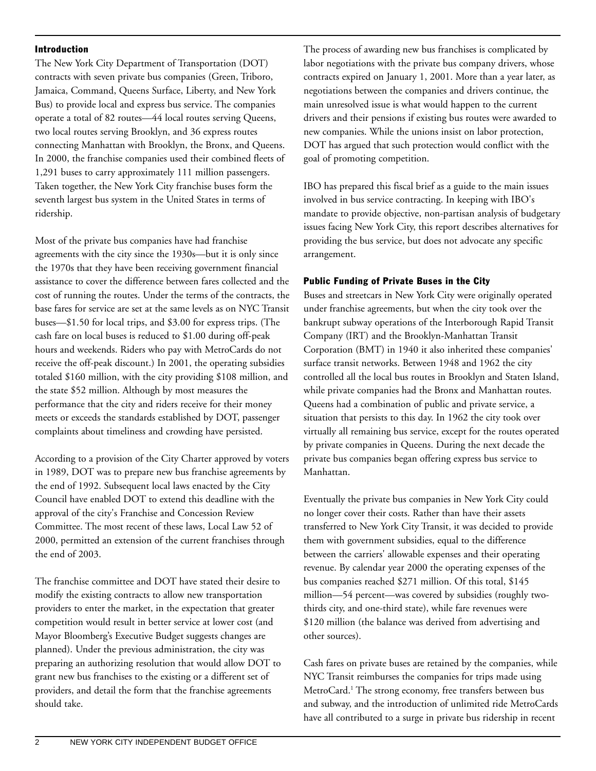#### Introduction

The New York City Department of Transportation (DOT) contracts with seven private bus companies (Green, Triboro, Jamaica, Command, Queens Surface, Liberty, and New York Bus) to provide local and express bus service. The companies operate a total of 82 routes—44 local routes serving Queens, two local routes serving Brooklyn, and 36 express routes connecting Manhattan with Brooklyn, the Bronx, and Queens. In 2000, the franchise companies used their combined fleets of 1,291 buses to carry approximately 111 million passengers. Taken together, the New York City franchise buses form the seventh largest bus system in the United States in terms of ridership.

Most of the private bus companies have had franchise agreements with the city since the 1930s—but it is only since the 1970s that they have been receiving government financial assistance to cover the difference between fares collected and the cost of running the routes. Under the terms of the contracts, the base fares for service are set at the same levels as on NYC Transit buses—\$1.50 for local trips, and \$3.00 for express trips. (The cash fare on local buses is reduced to \$1.00 during off-peak hours and weekends. Riders who pay with MetroCards do not receive the off-peak discount.) In 2001, the operating subsidies totaled \$160 million, with the city providing \$108 million, and the state \$52 million. Although by most measures the performance that the city and riders receive for their money meets or exceeds the standards established by DOT, passenger complaints about timeliness and crowding have persisted.

According to a provision of the City Charter approved by voters in 1989, DOT was to prepare new bus franchise agreements by the end of 1992. Subsequent local laws enacted by the City Council have enabled DOT to extend this deadline with the approval of the city's Franchise and Concession Review Committee. The most recent of these laws, Local Law 52 of 2000, permitted an extension of the current franchises through the end of 2003.

The franchise committee and DOT have stated their desire to modify the existing contracts to allow new transportation providers to enter the market, in the expectation that greater competition would result in better service at lower cost (and Mayor Bloomberg's Executive Budget suggests changes are planned). Under the previous administration, the city was preparing an authorizing resolution that would allow DOT to grant new bus franchises to the existing or a different set of providers, and detail the form that the franchise agreements should take.

The process of awarding new bus franchises is complicated by labor negotiations with the private bus company drivers, whose contracts expired on January 1, 2001. More than a year later, as negotiations between the companies and drivers continue, the main unresolved issue is what would happen to the current drivers and their pensions if existing bus routes were awarded to new companies. While the unions insist on labor protection, DOT has argued that such protection would conflict with the goal of promoting competition.

IBO has prepared this fiscal brief as a guide to the main issues involved in bus service contracting. In keeping with IBO's mandate to provide objective, non-partisan analysis of budgetary issues facing New York City, this report describes alternatives for providing the bus service, but does not advocate any specific arrangement.

#### Public Funding of Private Buses in the City

Buses and streetcars in New York City were originally operated under franchise agreements, but when the city took over the bankrupt subway operations of the Interborough Rapid Transit Company (IRT) and the Brooklyn-Manhattan Transit Corporation (BMT) in 1940 it also inherited these companies' surface transit networks. Between 1948 and 1962 the city controlled all the local bus routes in Brooklyn and Staten Island, while private companies had the Bronx and Manhattan routes. Queens had a combination of public and private service, a situation that persists to this day. In 1962 the city took over virtually all remaining bus service, except for the routes operated by private companies in Queens. During the next decade the private bus companies began offering express bus service to Manhattan.

Eventually the private bus companies in New York City could no longer cover their costs. Rather than have their assets transferred to New York City Transit, it was decided to provide them with government subsidies, equal to the difference between the carriers' allowable expenses and their operating revenue. By calendar year 2000 the operating expenses of the bus companies reached \$271 million. Of this total, \$145 million—54 percent—was covered by subsidies (roughly twothirds city, and one-third state), while fare revenues were \$120 million (the balance was derived from advertising and other sources).

Cash fares on private buses are retained by the companies, while NYC Transit reimburses the companies for trips made using MetroCard.1 The strong economy, free transfers between bus and subway, and the introduction of unlimited ride MetroCards have all contributed to a surge in private bus ridership in recent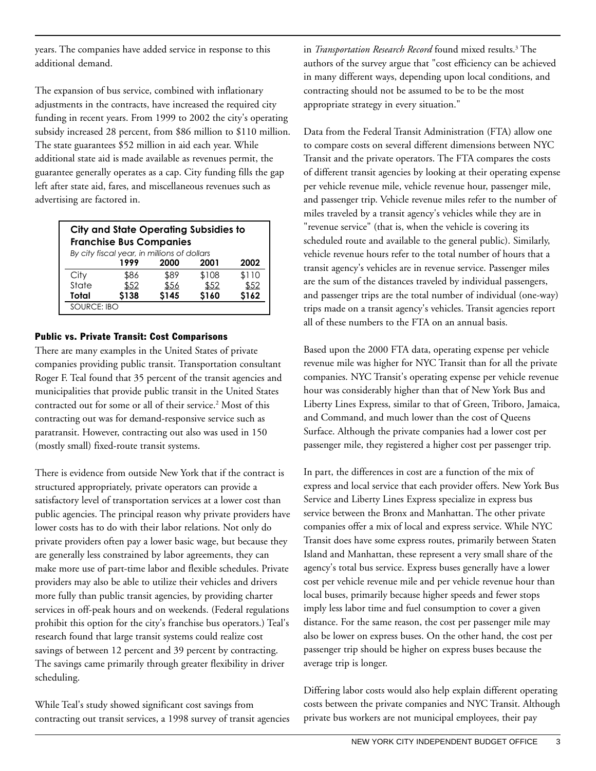years. The companies have added service in response to this additional demand.

The expansion of bus service, combined with inflationary adjustments in the contracts, have increased the required city funding in recent years. From 1999 to 2002 the city's operating subsidy increased 28 percent, from \$86 million to \$110 million. The state guarantees \$52 million in aid each year. While additional state aid is made available as revenues permit, the guarantee generally operates as a cap. City funding fills the gap left after state aid, fares, and miscellaneous revenues such as advertising are factored in.

| <b>City and State Operating Subsidies to</b><br><b>Franchise Bus Companies</b><br>By city fiscal year, in millions of dollars |       |       |       |       |  |  |
|-------------------------------------------------------------------------------------------------------------------------------|-------|-------|-------|-------|--|--|
|                                                                                                                               | 1999  | 2000  | 2001  | 2002  |  |  |
| City                                                                                                                          | \$86  | \$89  | \$108 | \$110 |  |  |
| State                                                                                                                         | \$52  | \$56  | \$52  | \$52  |  |  |
| Total                                                                                                                         | \$138 | \$145 | \$160 | \$162 |  |  |
| <b>SOURCE: IBO</b>                                                                                                            |       |       |       |       |  |  |

#### Public vs. Private Transit: Cost Comparisons

There are many examples in the United States of private companies providing public transit. Transportation consultant Roger F. Teal found that 35 percent of the transit agencies and municipalities that provide public transit in the United States contracted out for some or all of their service.2 Most of this contracting out was for demand-responsive service such as paratransit. However, contracting out also was used in 150 (mostly small) fixed-route transit systems.

There is evidence from outside New York that if the contract is structured appropriately, private operators can provide a satisfactory level of transportation services at a lower cost than public agencies. The principal reason why private providers have lower costs has to do with their labor relations. Not only do private providers often pay a lower basic wage, but because they are generally less constrained by labor agreements, they can make more use of part-time labor and flexible schedules. Private providers may also be able to utilize their vehicles and drivers more fully than public transit agencies, by providing charter services in off-peak hours and on weekends. (Federal regulations prohibit this option for the city's franchise bus operators.) Teal's research found that large transit systems could realize cost savings of between 12 percent and 39 percent by contracting. The savings came primarily through greater flexibility in driver scheduling.

While Teal's study showed significant cost savings from contracting out transit services, a 1998 survey of transit agencies in *Transportation Research Record* found mixed results.3 The authors of the survey argue that "cost efficiency can be achieved in many different ways, depending upon local conditions, and contracting should not be assumed to be to be the most appropriate strategy in every situation."

Data from the Federal Transit Administration (FTA) allow one to compare costs on several different dimensions between NYC Transit and the private operators. The FTA compares the costs of different transit agencies by looking at their operating expense per vehicle revenue mile, vehicle revenue hour, passenger mile, and passenger trip. Vehicle revenue miles refer to the number of miles traveled by a transit agency's vehicles while they are in "revenue service" (that is, when the vehicle is covering its scheduled route and available to the general public). Similarly, vehicle revenue hours refer to the total number of hours that a transit agency's vehicles are in revenue service. Passenger miles are the sum of the distances traveled by individual passengers, and passenger trips are the total number of individual (one-way) trips made on a transit agency's vehicles. Transit agencies report all of these numbers to the FTA on an annual basis.

Based upon the 2000 FTA data, operating expense per vehicle revenue mile was higher for NYC Transit than for all the private companies. NYC Transit's operating expense per vehicle revenue hour was considerably higher than that of New York Bus and Liberty Lines Express, similar to that of Green, Triboro, Jamaica, and Command, and much lower than the cost of Queens Surface. Although the private companies had a lower cost per passenger mile, they registered a higher cost per passenger trip.

In part, the differences in cost are a function of the mix of express and local service that each provider offers. New York Bus Service and Liberty Lines Express specialize in express bus service between the Bronx and Manhattan. The other private companies offer a mix of local and express service. While NYC Transit does have some express routes, primarily between Staten Island and Manhattan, these represent a very small share of the agency's total bus service. Express buses generally have a lower cost per vehicle revenue mile and per vehicle revenue hour than local buses, primarily because higher speeds and fewer stops imply less labor time and fuel consumption to cover a given distance. For the same reason, the cost per passenger mile may also be lower on express buses. On the other hand, the cost per passenger trip should be higher on express buses because the average trip is longer.

Differing labor costs would also help explain different operating costs between the private companies and NYC Transit. Although private bus workers are not municipal employees, their pay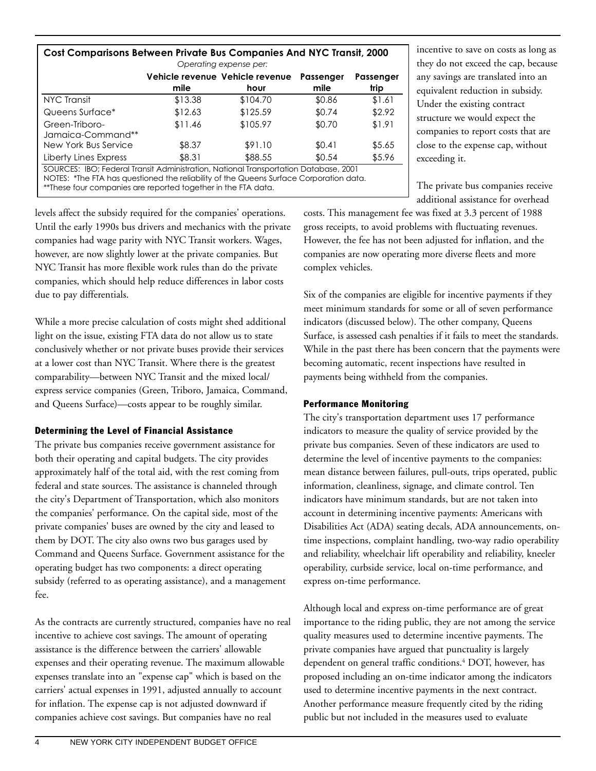| <b>Cost Comparisons Between Private Bus Companies And NYC Transit, 2000</b><br>Operating expense per:                                                                                                                                            |         |                                         |                          |                   |  |  |  |
|--------------------------------------------------------------------------------------------------------------------------------------------------------------------------------------------------------------------------------------------------|---------|-----------------------------------------|--------------------------|-------------------|--|--|--|
|                                                                                                                                                                                                                                                  | mile    | Vehicle revenue Vehicle revenue<br>hour | <b>Passenger</b><br>mile | Passenger<br>trip |  |  |  |
| NYC Transit                                                                                                                                                                                                                                      | \$13.38 | \$104.70                                | \$0.86                   | \$1.61            |  |  |  |
| Queens Surface*                                                                                                                                                                                                                                  | \$12.63 | \$125.59                                | \$0.74                   | \$2.92            |  |  |  |
| Green-Triboro-<br>Jamaica-Command**                                                                                                                                                                                                              | \$11.46 | \$105.97                                | \$0.70                   | \$1.91            |  |  |  |
| New York Bus Service                                                                                                                                                                                                                             | \$8.37  | \$91.10                                 | \$0.41                   | \$5.65            |  |  |  |
| Liberty Lines Express                                                                                                                                                                                                                            | \$8.31  | \$88.55                                 | \$0.54                   | \$5.96            |  |  |  |
| SOURCES: IBO; Federal Transit Administration, National Transportation Database, 2001<br>NOTES: *The FTA has questioned the reliability of the Queens Surface Corporation data.<br>** These four companies are reported together in the FTA data. |         |                                         |                          |                   |  |  |  |

incentive to save on costs as long as they do not exceed the cap, because any savings are translated into an equivalent reduction in subsidy. Under the existing contract structure we would expect the companies to report costs that are close to the expense cap, without exceeding it.

The private bus companies receive additional assistance for overhead

levels affect the subsidy required for the companies' operations. Until the early 1990s bus drivers and mechanics with the private companies had wage parity with NYC Transit workers. Wages, however, are now slightly lower at the private companies. But NYC Transit has more flexible work rules than do the private companies, which should help reduce differences in labor costs due to pay differentials.

While a more precise calculation of costs might shed additional light on the issue, existing FTA data do not allow us to state conclusively whether or not private buses provide their services at a lower cost than NYC Transit. Where there is the greatest comparability—between NYC Transit and the mixed local/ express service companies (Green, Triboro, Jamaica, Command, and Queens Surface)—costs appear to be roughly similar.

#### Determining the Level of Financial Assistance

The private bus companies receive government assistance for both their operating and capital budgets. The city provides approximately half of the total aid, with the rest coming from federal and state sources. The assistance is channeled through the city's Department of Transportation, which also monitors the companies' performance. On the capital side, most of the private companies' buses are owned by the city and leased to them by DOT. The city also owns two bus garages used by Command and Queens Surface. Government assistance for the operating budget has two components: a direct operating subsidy (referred to as operating assistance), and a management fee.

As the contracts are currently structured, companies have no real incentive to achieve cost savings. The amount of operating assistance is the difference between the carriers' allowable expenses and their operating revenue. The maximum allowable expenses translate into an "expense cap" which is based on the carriers' actual expenses in 1991, adjusted annually to account for inflation. The expense cap is not adjusted downward if companies achieve cost savings. But companies have no real

costs. This management fee was fixed at 3.3 percent of 1988 gross receipts, to avoid problems with fluctuating revenues. However, the fee has not been adjusted for inflation, and the companies are now operating more diverse fleets and more complex vehicles.

Six of the companies are eligible for incentive payments if they meet minimum standards for some or all of seven performance indicators (discussed below). The other company, Queens Surface, is assessed cash penalties if it fails to meet the standards. While in the past there has been concern that the payments were becoming automatic, recent inspections have resulted in payments being withheld from the companies.

#### Performance Monitoring

The city's transportation department uses 17 performance indicators to measure the quality of service provided by the private bus companies. Seven of these indicators are used to determine the level of incentive payments to the companies: mean distance between failures, pull-outs, trips operated, public information, cleanliness, signage, and climate control. Ten indicators have minimum standards, but are not taken into account in determining incentive payments: Americans with Disabilities Act (ADA) seating decals, ADA announcements, ontime inspections, complaint handling, two-way radio operability and reliability, wheelchair lift operability and reliability, kneeler operability, curbside service, local on-time performance, and express on-time performance.

Although local and express on-time performance are of great importance to the riding public, they are not among the service quality measures used to determine incentive payments. The private companies have argued that punctuality is largely dependent on general traffic conditions.<sup>4</sup> DOT, however, has proposed including an on-time indicator among the indicators used to determine incentive payments in the next contract. Another performance measure frequently cited by the riding public but not included in the measures used to evaluate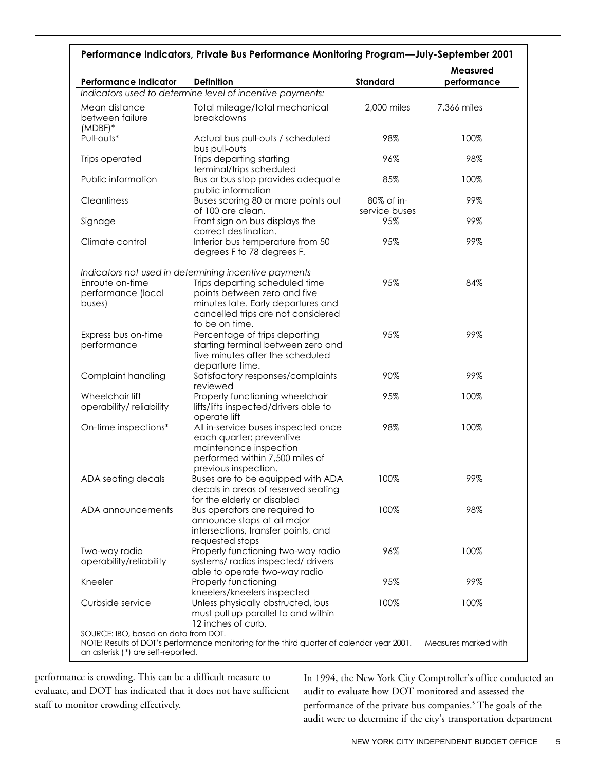| Performance Indicators, Private Bus Performance Monitoring Program-July-September 2001 |                                                                                                                                                      |                             |                         |  |  |  |
|----------------------------------------------------------------------------------------|------------------------------------------------------------------------------------------------------------------------------------------------------|-----------------------------|-------------------------|--|--|--|
| Performance Indicator                                                                  | <b>Definition</b>                                                                                                                                    | Standard                    | Measured<br>performance |  |  |  |
|                                                                                        | Indicators used to determine level of incentive payments:                                                                                            |                             |                         |  |  |  |
| Mean distance<br>between failure<br>$(MDBF)*$                                          | Total mileage/total mechanical<br>breakdowns                                                                                                         | 2,000 miles                 | 7,366 miles             |  |  |  |
| Pull-outs*                                                                             | Actual bus pull-outs / scheduled<br>bus pull-outs                                                                                                    | 98%                         | 100%                    |  |  |  |
| Trips operated                                                                         | Trips departing starting<br>terminal/trips scheduled                                                                                                 | 96%                         | 98%                     |  |  |  |
| Public information                                                                     | Bus or bus stop provides adequate<br>public information                                                                                              | 85%                         | 100%                    |  |  |  |
| Cleanliness                                                                            | Buses scoring 80 or more points out<br>of 100 are clean.                                                                                             | 80% of in-<br>service buses | 99%                     |  |  |  |
| Signage                                                                                | Front sign on bus displays the<br>correct destination.                                                                                               | 95%                         | 99%                     |  |  |  |
| Climate control                                                                        | Interior bus temperature from 50<br>degrees F to 78 degrees F.                                                                                       | 95%                         | 99%                     |  |  |  |
|                                                                                        | Indicators not used in determining incentive payments                                                                                                |                             |                         |  |  |  |
| Enroute on-time<br>performance (local<br>buses)                                        | Trips departing scheduled time<br>points between zero and five<br>minutes late. Early departures and<br>cancelled trips are not considered           | 95%                         | 84%                     |  |  |  |
| Express bus on-time<br>performance                                                     | to be on time.<br>Percentage of trips departing<br>starting terminal between zero and<br>five minutes after the scheduled                            | 95%                         | 99%                     |  |  |  |
| Complaint handling                                                                     | departure time.<br>Satisfactory responses/complaints<br>reviewed                                                                                     | 90%                         | 99%                     |  |  |  |
| Wheelchair lift<br>operability/ reliability                                            | Properly functioning wheelchair<br>lifts/lifts inspected/drivers able to<br>operate lift                                                             | 95%                         | 100%                    |  |  |  |
| On-time inspections*                                                                   | All in-service buses inspected once<br>each quarter; preventive<br>maintenance inspection<br>performed within 7,500 miles of<br>previous inspection. | 98%                         | 100%                    |  |  |  |
| ADA seating decals                                                                     | Buses are to be equipped with ADA<br>decals in areas of reserved seating                                                                             | 100%                        | 99%                     |  |  |  |
| ADA announcements                                                                      | for the elderly or disabled<br>Bus operators are required to<br>announce stops at all major<br>intersections, transfer points, and                   | 100%                        | 98%                     |  |  |  |
| Two-way radio<br>operability/reliability                                               | requested stops<br>Properly functioning two-way radio<br>systems/radios inspected/drivers<br>able to operate two-way radio                           | 96%                         | 100%                    |  |  |  |
| Kneeler                                                                                | Properly functioning<br>kneelers/kneelers inspected                                                                                                  | 95%                         | 99%                     |  |  |  |
| Curbside service                                                                       | Unless physically obstructed, bus<br>must pull up parallel to and within<br>12 inches of curb.                                                       | 100%                        | 100%                    |  |  |  |
| SOURCE: IBO, based on data from DOT.<br>an asterisk (*) are self-reported.             | NOTE: Results of DOT's performance monitoring for the third quarter of calendar year 2001.                                                           |                             | Measures marked with    |  |  |  |

performance is crowding. This can be a difficult measure to evaluate, and DOT has indicated that it does not have sufficient staff to monitor crowding effectively.

In 1994, the New York City Comptroller's office conducted an audit to evaluate how DOT monitored and assessed the performance of the private bus companies.<sup>5</sup> The goals of the audit were to determine if the city's transportation department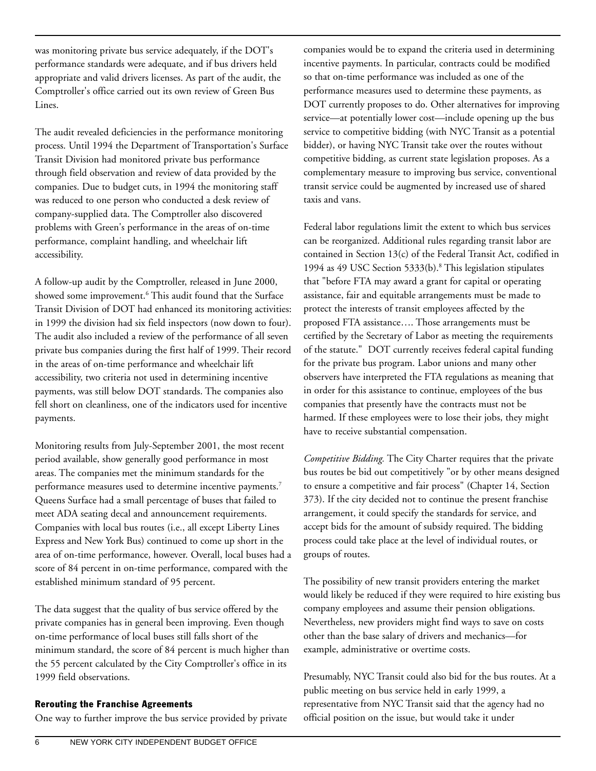was monitoring private bus service adequately, if the DOT's performance standards were adequate, and if bus drivers held appropriate and valid drivers licenses. As part of the audit, the Comptroller's office carried out its own review of Green Bus Lines.

The audit revealed deficiencies in the performance monitoring process. Until 1994 the Department of Transportation's Surface Transit Division had monitored private bus performance through field observation and review of data provided by the companies. Due to budget cuts, in 1994 the monitoring staff was reduced to one person who conducted a desk review of company-supplied data. The Comptroller also discovered problems with Green's performance in the areas of on-time performance, complaint handling, and wheelchair lift accessibility.

A follow-up audit by the Comptroller, released in June 2000, showed some improvement.6 This audit found that the Surface Transit Division of DOT had enhanced its monitoring activities: in 1999 the division had six field inspectors (now down to four). The audit also included a review of the performance of all seven private bus companies during the first half of 1999. Their record in the areas of on-time performance and wheelchair lift accessibility, two criteria not used in determining incentive payments, was still below DOT standards. The companies also fell short on cleanliness, one of the indicators used for incentive payments.

Monitoring results from July-September 2001, the most recent period available, show generally good performance in most areas. The companies met the minimum standards for the performance measures used to determine incentive payments.<sup>7</sup> Queens Surface had a small percentage of buses that failed to meet ADA seating decal and announcement requirements. Companies with local bus routes (i.e., all except Liberty Lines Express and New York Bus) continued to come up short in the area of on-time performance, however. Overall, local buses had a score of 84 percent in on-time performance, compared with the established minimum standard of 95 percent.

The data suggest that the quality of bus service offered by the private companies has in general been improving. Even though on-time performance of local buses still falls short of the minimum standard, the score of 84 percent is much higher than the 55 percent calculated by the City Comptroller's office in its 1999 field observations.

#### Rerouting the Franchise Agreements

One way to further improve the bus service provided by private

companies would be to expand the criteria used in determining incentive payments. In particular, contracts could be modified so that on-time performance was included as one of the performance measures used to determine these payments, as DOT currently proposes to do. Other alternatives for improving service—at potentially lower cost—include opening up the bus service to competitive bidding (with NYC Transit as a potential bidder), or having NYC Transit take over the routes without competitive bidding, as current state legislation proposes. As a complementary measure to improving bus service, conventional transit service could be augmented by increased use of shared taxis and vans.

Federal labor regulations limit the extent to which bus services can be reorganized. Additional rules regarding transit labor are contained in Section 13(c) of the Federal Transit Act, codified in 1994 as 49 USC Section 5333(b).8 This legislation stipulates that "before FTA may award a grant for capital or operating assistance, fair and equitable arrangements must be made to protect the interests of transit employees affected by the proposed FTA assistance…. Those arrangements must be certified by the Secretary of Labor as meeting the requirements of the statute." DOT currently receives federal capital funding for the private bus program. Labor unions and many other observers have interpreted the FTA regulations as meaning that in order for this assistance to continue, employees of the bus companies that presently have the contracts must not be harmed. If these employees were to lose their jobs, they might have to receive substantial compensation.

*Competitive Bidding.* The City Charter requires that the private bus routes be bid out competitively "or by other means designed to ensure a competitive and fair process" (Chapter 14, Section 373). If the city decided not to continue the present franchise arrangement, it could specify the standards for service, and accept bids for the amount of subsidy required. The bidding process could take place at the level of individual routes, or groups of routes.

The possibility of new transit providers entering the market would likely be reduced if they were required to hire existing bus company employees and assume their pension obligations. Nevertheless, new providers might find ways to save on costs other than the base salary of drivers and mechanics—for example, administrative or overtime costs.

Presumably, NYC Transit could also bid for the bus routes. At a public meeting on bus service held in early 1999, a representative from NYC Transit said that the agency had no official position on the issue, but would take it under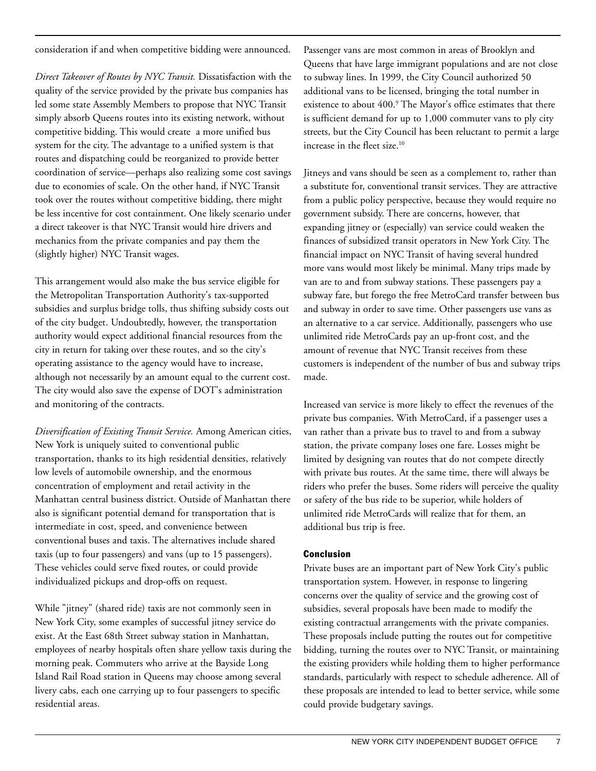consideration if and when competitive bidding were announced.

*Direct Takeover of Routes by NYC Transit.* Dissatisfaction with the quality of the service provided by the private bus companies has led some state Assembly Members to propose that NYC Transit simply absorb Queens routes into its existing network, without competitive bidding. This would create a more unified bus system for the city. The advantage to a unified system is that routes and dispatching could be reorganized to provide better coordination of service—perhaps also realizing some cost savings due to economies of scale. On the other hand, if NYC Transit took over the routes without competitive bidding, there might be less incentive for cost containment. One likely scenario under a direct takeover is that NYC Transit would hire drivers and mechanics from the private companies and pay them the (slightly higher) NYC Transit wages.

This arrangement would also make the bus service eligible for the Metropolitan Transportation Authority's tax-supported subsidies and surplus bridge tolls, thus shifting subsidy costs out of the city budget. Undoubtedly, however, the transportation authority would expect additional financial resources from the city in return for taking over these routes, and so the city's operating assistance to the agency would have to increase, although not necessarily by an amount equal to the current cost. The city would also save the expense of DOT's administration and monitoring of the contracts.

*Diversification of Existing Transit Service.* Among American cities, New York is uniquely suited to conventional public transportation, thanks to its high residential densities, relatively low levels of automobile ownership, and the enormous concentration of employment and retail activity in the Manhattan central business district. Outside of Manhattan there also is significant potential demand for transportation that is intermediate in cost, speed, and convenience between conventional buses and taxis. The alternatives include shared taxis (up to four passengers) and vans (up to 15 passengers). These vehicles could serve fixed routes, or could provide individualized pickups and drop-offs on request.

While "jitney" (shared ride) taxis are not commonly seen in New York City, some examples of successful jitney service do exist. At the East 68th Street subway station in Manhattan, employees of nearby hospitals often share yellow taxis during the morning peak. Commuters who arrive at the Bayside Long Island Rail Road station in Queens may choose among several livery cabs, each one carrying up to four passengers to specific residential areas.

Passenger vans are most common in areas of Brooklyn and Queens that have large immigrant populations and are not close to subway lines. In 1999, the City Council authorized 50 additional vans to be licensed, bringing the total number in existence to about 400.<sup>9</sup> The Mayor's office estimates that there is sufficient demand for up to 1,000 commuter vans to ply city streets, but the City Council has been reluctant to permit a large increase in the fleet size.<sup>10</sup>

Jitneys and vans should be seen as a complement to, rather than a substitute for, conventional transit services. They are attractive from a public policy perspective, because they would require no government subsidy. There are concerns, however, that expanding jitney or (especially) van service could weaken the finances of subsidized transit operators in New York City. The financial impact on NYC Transit of having several hundred more vans would most likely be minimal. Many trips made by van are to and from subway stations. These passengers pay a subway fare, but forego the free MetroCard transfer between bus and subway in order to save time. Other passengers use vans as an alternative to a car service. Additionally, passengers who use unlimited ride MetroCards pay an up-front cost, and the amount of revenue that NYC Transit receives from these customers is independent of the number of bus and subway trips made.

Increased van service is more likely to effect the revenues of the private bus companies. With MetroCard, if a passenger uses a van rather than a private bus to travel to and from a subway station, the private company loses one fare. Losses might be limited by designing van routes that do not compete directly with private bus routes. At the same time, there will always be riders who prefer the buses. Some riders will perceive the quality or safety of the bus ride to be superior, while holders of unlimited ride MetroCards will realize that for them, an additional bus trip is free.

#### Conclusion

Private buses are an important part of New York City's public transportation system. However, in response to lingering concerns over the quality of service and the growing cost of subsidies, several proposals have been made to modify the existing contractual arrangements with the private companies. These proposals include putting the routes out for competitive bidding, turning the routes over to NYC Transit, or maintaining the existing providers while holding them to higher performance standards, particularly with respect to schedule adherence. All of these proposals are intended to lead to better service, while some could provide budgetary savings.